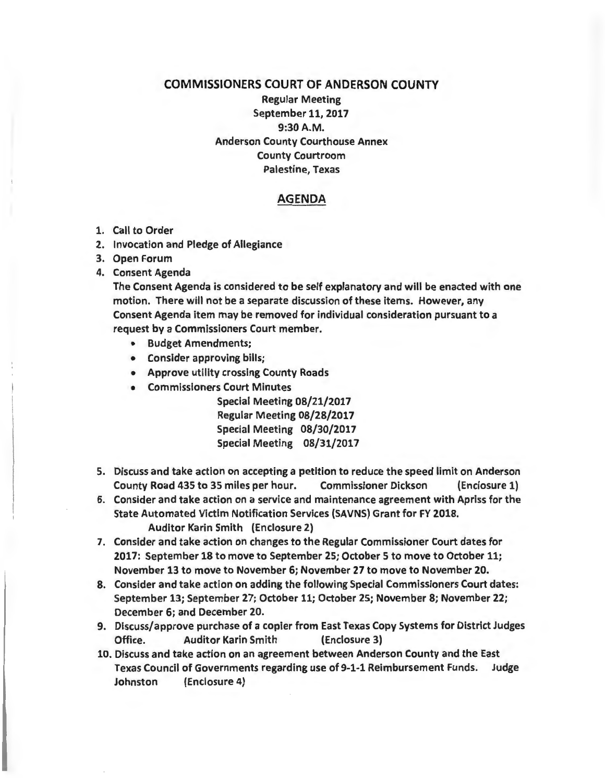## COMMISSIONERS COURT OF ANDERSON COUNTY Regular Meeting September 11, 2017 9:30A.M. Anderson County Courthouse Annex County Courtroom Palestine, Texas

## AGENDA

- 1. Call to Order
- 2. Invocation and Pledge of Allegiance
- 3. Open Forum
- 4. Consent Agenda

The Consent Agenda is considered to be self explanatory and will be enacted with one motion. There will not be a separate discussion of these items. However, any Consent Agenda item may be removed for individual consideration pursuant to a request by a Commissioners Court member.

- Budget Amendments;
- Consider approving bills;
- Approve utility crossing County Roads
- Commissioners Court Minutes

Special Meeting 08/21/2017 Regular Meeting 08/28/2017 Special Meeting 08/30/2017 Special Meeting 08/31/2017

- 5. Discuss and take action on accepting a petition to reduce the speed limit on Anderson County Road 435 to 35 miles per hour. Commissioner Dickson (Enclosure 1)
- 6. Consider and take action on a service and maintenance agreement with Apriss for the State Automated Victim Notification Services (SAVNS) Grant for FY 2018. Auditor Karin Smith (Enclosure 2)
- 7. Consider and take action on changes to the Regular Commissioner Court dates for 2017: September 18 to move to September 25; October 5 to move to October 11; November 13 to move to November 6; November 27 to move to November 20.
- 8. Consider and take action on adding the following Special Commissioners Court dates: September 13; September 27; October 11; October 25; November 8; November 22; December 6; and December 20.
- 9. Discuss/approve purchase of a copier from East Texas Copy Systems for District Judges Office. Auditor Karin Smith (Enclosure 3)
- 10. Discuss and take action on an agreement between Anderson County and the East Texas Council of Governments regarding use of 9-1-1 Reimbursement Funds. Judge Johnston {Enclosure 4)